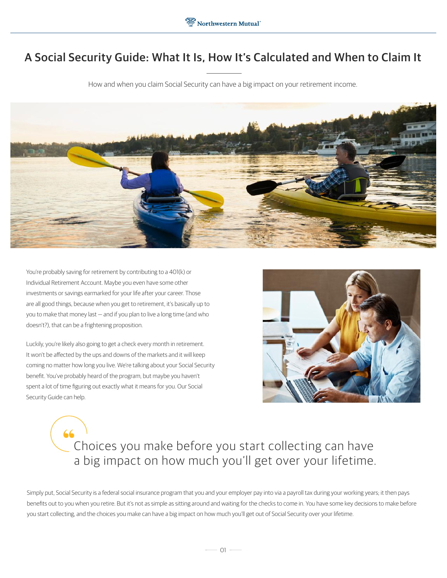## A Social Security Guide: What It Is, How It's Calculated and When to Claim It

How and when you claim Social Security can have a big impact on your retirement income.



You're probably saving for retirement by contributing to a 401(k) or Individual Retirement Account. Maybe you even have some other investments or savings earmarked for your life after your career. Those are all good things, because when you get to retirement, it's basically up to you to make that money last — and if you plan to live a long time (and who doesn't?), that can be a frightening proposition.

Luckily, you're likely also going to get a check every month in retirement. It won't be affected by the ups and downs of the markets and it will keep coming no matter how long you live. We're talking about your Social Security benefit. You've probably heard of the program, but maybe you haven't spent a lot of time figuring out exactly what it means for you. Our Social Security Guide can help.



# Choices you make before you start collecting can have a big impact on how much you'll get over your lifetime.

Simply put, Social Security is a federal social insurance program that you and your employer pay into via a payroll tax during your working years; it then pays benefits out to you when you retire. But it's not as simple as sitting around and waiting for the checks to come in. You have some key decisions to make before you start collecting, and the choices you make can have a big impact on how much you'll get out of Social Security over your lifetime.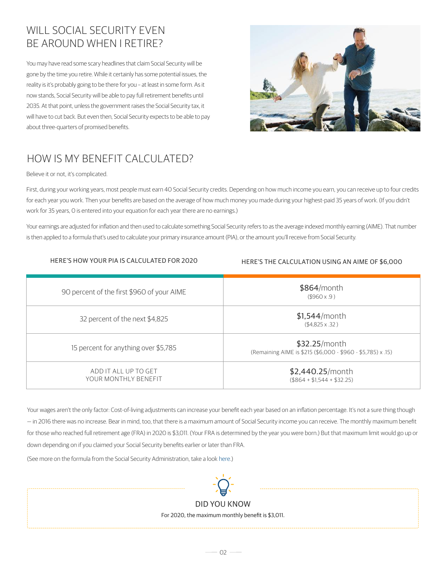## WILL SOCIAL SECURITY EVEN BE AROUND WHEN I RETIRE?

You may have read some scary headlines that claim Social Security will be gone by the time you retire. While it certainly has some potential issues, the reality is it's probably going to be there for you – at least in some form. As it now stands, Social Security will be able to pay full retirement benefits until 2035. At that point, unless the government raises the Social Security tax, it will have to cut back. But even then, Social Security expects to be able to pay about three-quarters of promised benefits.



# HOW IS MY BENEFIT CALCULATED?

Believe it or not, it's complicated.

First, during your working years, most people must earn 40 Social Security credits. Depending on how much income you earn, you can receive up to four credits for each year you work. Then your benefits are based on the average of how much money you made during your highest-paid 35 years of work. (If you didn't work for 35 years, 0 is entered into your equation for each year there are no earnings.)

Your earnings are adjusted for inflation and then used to calculate something Social Security refers to as the average indexed monthly earning (AIME). That number is then applied to a formula that's used to calculate your primary insurance amount (PIA), or the amount you'll receive from Social Security.

#### HERE'S HOW YOUR PIA IS CALCULATED FOR 2020

#### HERE'S THE CALCULATION USING AN AIME OF \$6,000

| 90 percent of the first \$960 of your AIME   | $$864/m$ onth<br>$($ \$960 x .9)                                             |
|----------------------------------------------|------------------------------------------------------------------------------|
| 32 percent of the next \$4,825               | $$1,544/m$ onth<br>$($4,825 \times .32)$                                     |
| 15 percent for anything over \$5,785         | \$32.25/month<br>(Remaining AIME is \$215 (\$6,000 - \$960 - \$5,785) x .15) |
| ADD IT ALL UP TO GET<br>YOUR MONTHLY BENEFIT | \$2,440.25/month<br>$($ \$864 + \$1.544 + \$32.25)                           |

Your wages aren't the only factor: Cost-of-living adjustments can increase your benefit each year based on an inflation percentage. It's not a sure thing though — in 2016 there was no increase. Bear in mind, too, that there is a maximum amount of Social Security income you can receive. The monthly maximum benefit for those who reached full retirement age (FRA) in 2020 is \$3,011. (Your FRA is determined by the year you were born.) But that maximum limit would go up or down depending on if you claimed your Social Security benefits earlier or later than FRA.

(See more on the formula from the Social Security Administration, take a look here.)



DID YOU KNOW For 2020, the maximum monthly benefit is \$3,011.

 $\overline{\phantom{0}}$  02  $\overline{\phantom{0}}$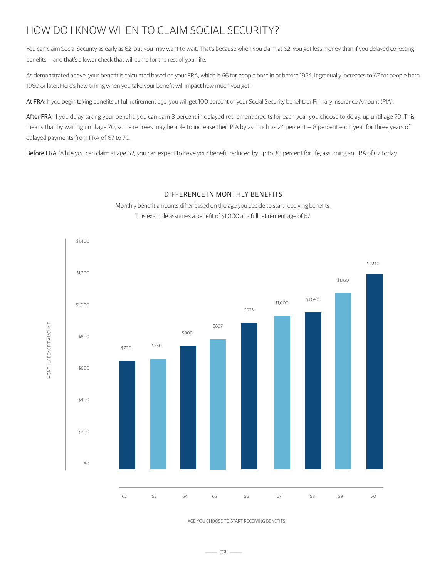## HOW DO I KNOW WHEN TO CLAIM SOCIAL SECURITY?

You can claim Social Security as early as 62, but you may want to wait. That's because when you claim at 62, you get less money than if you delayed collecting benefits — and that's a lower check that will come for the rest of your life.

As demonstrated above, your benefit is calculated based on your FRA, which is 66 for people born in or before 1954. It gradually increases to 67 for people born 1960 or later. Here's how timing when you take your benefit will impact how much you get:

At FRA: If you begin taking benefits at full retirement age, you will get 100 percent of your Social Security benefit, or Primary Insurance Amount (PIA).

After FRA: If you delay taking your benefit, you can earn 8 percent in delayed retirement credits for each year you choose to delay, up until age 70. This means that by waiting until age 70, some retirees may be able to increase their PIA by as much as 24 percent - 8 percent each year for three years of delayed payments from FRA of 67 to 70.

Before FRA: While you can claim at age 62, you can expect to have your benefit reduced by up to 30 percent for life, assuming an FRA of 67 today.

#### DIFFERENCE IN MONTHLY BENEFITS

Monthly benefit amounts differ based on the age you decide to start receiving benefits. This example assumes a benefit of \$1,000 at a full retirement age of 67.



AGE YOU CHOOSE TO START RECEIVING BENEFITS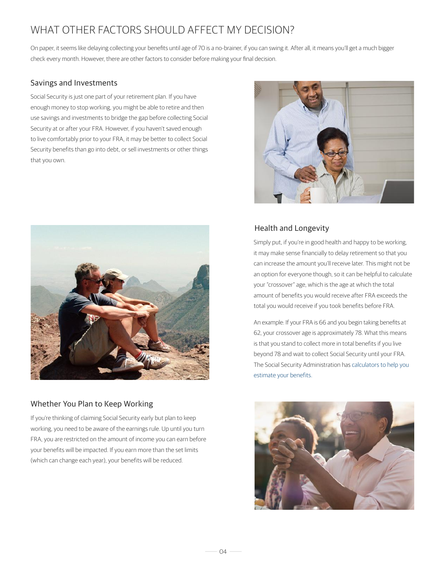## WHAT OTHER FACTORS SHOULD AFFECT MY DECISION?

On paper, it seems like delaying collecting your benefits until age of 70 is a no-brainer, if you can swing it. After all, it means you'll get a much bigger check every month. However, there are other factors to consider before making your final decision.

#### Savings and Investments

Social Security is just one part of your retirement plan. If you have enough money to stop working, you might be able to retire and then use savings and investments to bridge the gap before collecting Social Security at or after your FRA. However, if you haven't saved enough to live comfortably prior to your FRA, it may be better to collect Social Security benefits than go into debt, or sell investments or other things that you own.





#### Whether You Plan to Keep Working

If you're thinking of claiming Social Security early but plan to keep working, you need to be aware of the earnings rule. Up until you turn FRA, you are restricted on the amount of income you can earn before your benefits will be impacted. If you earn more than the set limits (which can change each year), your benefits will be reduced.

#### Health and Longevity

Simply put, if you're in good health and happy to be working, it may make sense financially to delay retirement so that you can increase the amount you'll receive later. This might not be an option for everyone though, so it can be helpful to calculate your "crossover" age, which is the age at which the total amount of benefits you would receive after FRA exceeds the total you would receive if you took benefits before FRA.

An example: If your FRA is 66 and you begin taking benefits at 62, your crossover age is approximately 78. What this means is that you stand to collect more in total benefits if you live beyond 78 and wait to collect Social Security until your FRA. The Social Security Administration has calculators to help you estimate your benefits.



 $-04 -$